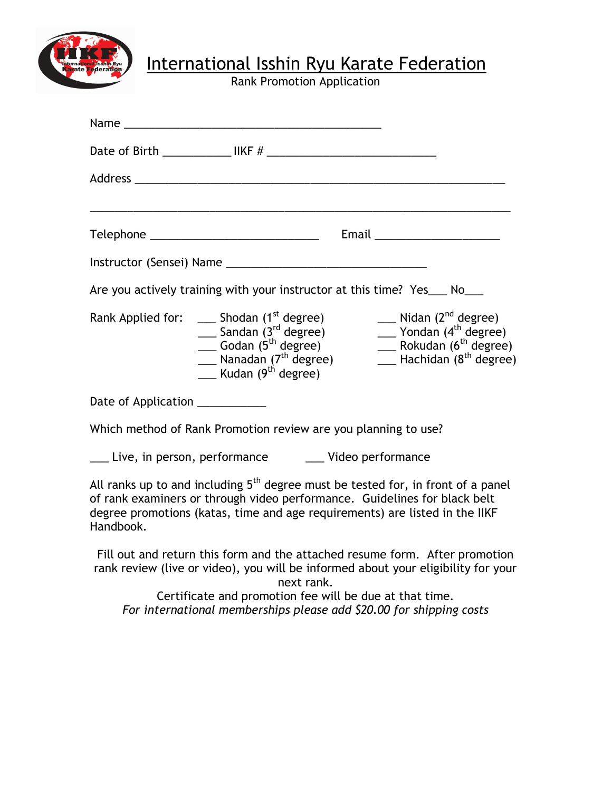

**J** International Isshin Ryu Karate Federation

Rank Promotion Application

|                                                                                                                                                                                                                                                                       | Name and the contract of the contract of the contract of the contract of the contract of the contract of the contract of the contract of the contract of the contract of the contract of the contract of the contract of the c                                                                                                                                                                                                                                        |  |  |
|-----------------------------------------------------------------------------------------------------------------------------------------------------------------------------------------------------------------------------------------------------------------------|-----------------------------------------------------------------------------------------------------------------------------------------------------------------------------------------------------------------------------------------------------------------------------------------------------------------------------------------------------------------------------------------------------------------------------------------------------------------------|--|--|
|                                                                                                                                                                                                                                                                       |                                                                                                                                                                                                                                                                                                                                                                                                                                                                       |  |  |
|                                                                                                                                                                                                                                                                       |                                                                                                                                                                                                                                                                                                                                                                                                                                                                       |  |  |
|                                                                                                                                                                                                                                                                       |                                                                                                                                                                                                                                                                                                                                                                                                                                                                       |  |  |
|                                                                                                                                                                                                                                                                       |                                                                                                                                                                                                                                                                                                                                                                                                                                                                       |  |  |
|                                                                                                                                                                                                                                                                       |                                                                                                                                                                                                                                                                                                                                                                                                                                                                       |  |  |
|                                                                                                                                                                                                                                                                       | Are you actively training with your instructor at this time? Yes___ No___                                                                                                                                                                                                                                                                                                                                                                                             |  |  |
|                                                                                                                                                                                                                                                                       | $\frac{1}{\sqrt{1-\frac{1}{c}}}$ Nidan (2 <sup>nd</sup> degree)<br>Rank Applied for: $\_\_\_$ Shodan (1 <sup>st</sup> degree)<br>$\frac{1}{\sqrt{1-\frac{1}{c}}}\$ Yondan (4 <sup>th</sup> degree)<br>$\frac{1}{2}$ Sandan (3 <sup>rd</sup> degree)<br>__ Rokudan (6 <sup>th</sup> degree)<br>$\frac{1}{2}$ Godan (5 <sup>th</sup> degree)<br>$\equiv$ Hachidan ( $8^{\text{th}}$ degree)<br>__ Nanadan (7 <sup>th</sup> degree)<br>__ Kudan (9 <sup>th</sup> degree) |  |  |
| Date of Application ___________                                                                                                                                                                                                                                       |                                                                                                                                                                                                                                                                                                                                                                                                                                                                       |  |  |
| Which method of Rank Promotion review are you planning to use?                                                                                                                                                                                                        |                                                                                                                                                                                                                                                                                                                                                                                                                                                                       |  |  |
| Live, in person, performance _________ Video performance                                                                                                                                                                                                              |                                                                                                                                                                                                                                                                                                                                                                                                                                                                       |  |  |
| All ranks up to and including 5 <sup>th</sup> degree must be tested for, in front of a panel<br>of rank examiners or through video performance. Guidelines for black belt<br>degree promotions (katas, time and age requirements) are listed in the IIKF<br>Handbook. |                                                                                                                                                                                                                                                                                                                                                                                                                                                                       |  |  |
|                                                                                                                                                                                                                                                                       | Fill out and return this form and the attached resume form. After promotion<br>rank review (live or video), you will be informed about your eligibility for your<br>next rank.                                                                                                                                                                                                                                                                                        |  |  |
| Certificate and promotion fee will be due at that time.<br>For international memberships please add \$20.00 for shipping costs                                                                                                                                        |                                                                                                                                                                                                                                                                                                                                                                                                                                                                       |  |  |